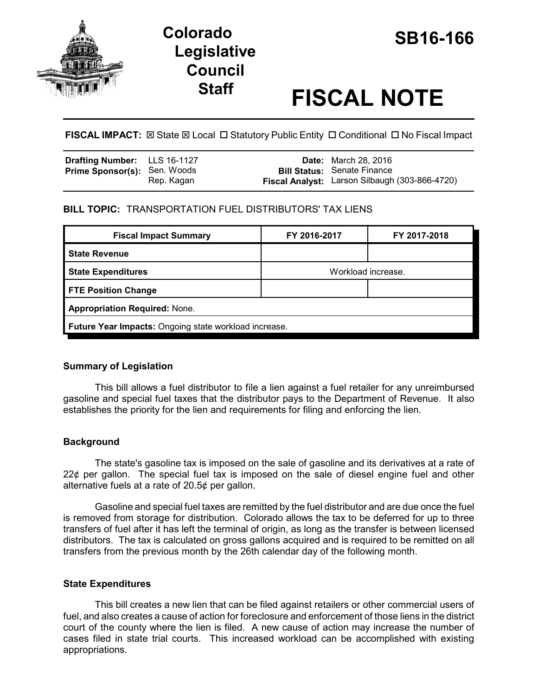

# **SB16-166 Colorado Legislative Council**

# **Staff FISCAL NOTE**

**FISCAL IMPACT:** ⊠ State ⊠ Local □ Statutory Public Entity □ Conditional □ No Fiscal Impact

| <b>Drafting Number:</b> LLS 16-1127 |            | <b>Date:</b> March 28, 2016                                                          |
|-------------------------------------|------------|--------------------------------------------------------------------------------------|
| <b>Prime Sponsor(s): Sen. Woods</b> | Rep. Kagan | <b>Bill Status: Senate Finance</b><br>Fiscal Analyst: Larson Silbaugh (303-866-4720) |

# **BILL TOPIC:** TRANSPORTATION FUEL DISTRIBUTORS' TAX LIENS

| <b>Fiscal Impact Summary</b>                          | FY 2016-2017       | FY 2017-2018 |  |  |  |
|-------------------------------------------------------|--------------------|--------------|--|--|--|
| <b>State Revenue</b>                                  |                    |              |  |  |  |
| <b>State Expenditures</b>                             | Workload increase. |              |  |  |  |
| <b>FTE Position Change</b>                            |                    |              |  |  |  |
| <b>Appropriation Required: None.</b>                  |                    |              |  |  |  |
| Future Year Impacts: Ongoing state workload increase. |                    |              |  |  |  |

# **Summary of Legislation**

This bill allows a fuel distributor to file a lien against a fuel retailer for any unreimbursed gasoline and special fuel taxes that the distributor pays to the Department of Revenue. It also establishes the priority for the lien and requirements for filing and enforcing the lien.

# **Background**

The state's gasoline tax is imposed on the sale of gasoline and its derivatives at a rate of 22¢ per gallon. The special fuel tax is imposed on the sale of diesel engine fuel and other alternative fuels at a rate of 20.5¢ per gallon.

Gasoline and special fuel taxes are remitted by the fuel distributor and are due once the fuel is removed from storage for distribution. Colorado allows the tax to be deferred for up to three transfers of fuel after it has left the terminal of origin, as long as the transfer is between licensed distributors. The tax is calculated on gross gallons acquired and is required to be remitted on all transfers from the previous month by the 26th calendar day of the following month.

# **State Expenditures**

This bill creates a new lien that can be filed against retailers or other commercial users of fuel, and also creates a cause of action for foreclosure and enforcement of those liens in the district court of the county where the lien is filed. A new cause of action may increase the number of cases filed in state trial courts. This increased workload can be accomplished with existing appropriations.